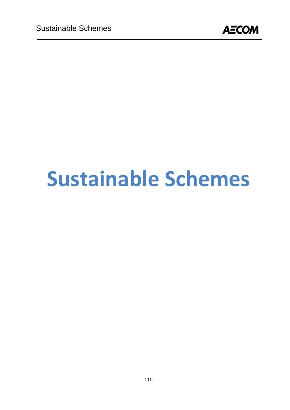

# **Sustainable Schemes**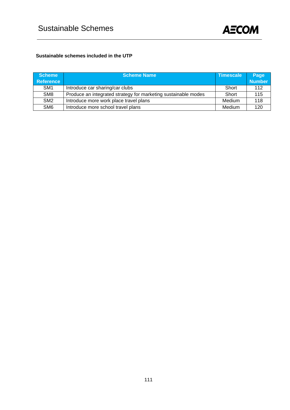

#### **Sustainable schemes included in the UTP**

| <b>Scheme</b><br>Reference | <b>Scheme Name</b>                                             | <b>Timescale</b> | Page<br><b>Number</b> |
|----------------------------|----------------------------------------------------------------|------------------|-----------------------|
| SM <sub>1</sub>            | Introduce car sharing/car clubs                                | Short            | 112                   |
| SM <sub>8</sub>            | Produce an integrated strategy for marketing sustainable modes | Short            | 115                   |
| SM <sub>2</sub>            | Introduce more work place travel plans                         | Medium           | 118                   |
| SM <sub>6</sub>            | Introduce more school travel plans                             | Medium           | 120                   |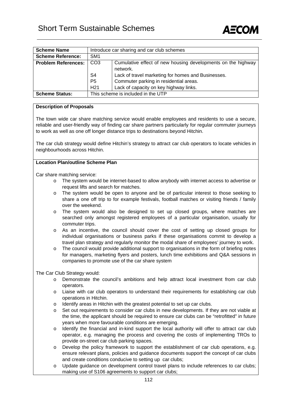

| <b>Scheme Name</b>         | Introduce car sharing and car club schemes                                      |                                        |  |  |
|----------------------------|---------------------------------------------------------------------------------|----------------------------------------|--|--|
| <b>Scheme Reference:</b>   | SM <sub>1</sub>                                                                 |                                        |  |  |
| <b>Problem References:</b> | CO <sub>3</sub><br>Cumulative effect of new housing developments on the highway |                                        |  |  |
|                            | network.                                                                        |                                        |  |  |
|                            | S <sub>4</sub><br>Lack of travel marketing for homes and Businesses.            |                                        |  |  |
|                            | P <sub>5</sub><br>Commuter parking in residential areas.                        |                                        |  |  |
|                            | H <sub>21</sub>                                                                 | Lack of capacity on key highway links. |  |  |
| <b>Scheme Status:</b>      | This scheme is included in the UTP                                              |                                        |  |  |

#### **Description of Proposals**

The town wide car share matching service would enable employees and residents to use a secure, reliable and user-friendly way of finding car share partners particularly for regular commuter journeys to work as well as one off longer distance trips to destinations beyond Hitchin.

The car club strategy would define Hitchin's strategy to attract car club operators to locate vehicles in neighbourhoods across Hitchin.

#### **Location Plan/outline Scheme Plan**

Car share matching service:

- o The system would be internet-based to allow anybody with internet access to advertise or request lifts and search for matches.
- o The system would be open to anyone and be of particular interest to those seeking to share a one off trip to for example festivals, football matches or visiting friends / family over the weekend.
- o The system would also be designed to set up closed groups, where matches are searched only amongst registered employees of a particular organisation, usually for commuter trips.
- o As an incentive, the council should cover the cost of setting up closed groups for individual organisations or business parks if these organisations commit to develop a travel plan strategy and regularly monitor the modal share of employees' journey to work.
- $\circ$  The council would provide additional support to organisations in the form of briefing notes for managers, marketing flyers and posters, lunch time exhibitions and Q&A sessions in companies to promote use of the car share system

#### The Car Club Strategy would:

- o Demonstrate the council's ambitions and help attract local investment from car club operators.
- o Liaise with car club operators to understand their requirements for establishing car club operations in Hitchin.
- o Identify areas in Hitchin with the greatest potential to set up car clubs.
- o Set out requirements to consider car clubs in new developments. If they are not viable at the time, the applicant should be required to ensure car clubs can be "retrofitted" in future years when more favourable conditions are emerging.
- o Identify the financial and in-kind support the local authority will offer to attract car club operator, e.g. managing the process and covering the costs of implementing TROs to provide on-street car club parking spaces.
- o Develop the policy framework to support the establishment of car club operations, e.g. ensure relevant plans, policies and guidance documents support the concept of car clubs and create conditions conducive to setting up car clubs;
- o Update guidance on development control travel plans to include references to car clubs; making use of S106 agreements to support car clubs;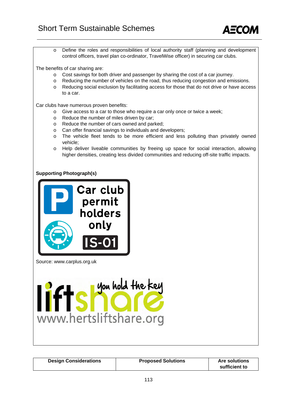

o Define the roles and responsibilities of local authority staff (planning and development control officers, travel plan co-ordinator, TravelWise officer) in securing car clubs.

The benefits of car sharing are:

- o Cost savings for both driver and passenger by sharing the cost of a car journey.
- o Reducing the number of vehicles on the road, thus reducing congestion and emissions.
- o Reducing social exclusion by facilitating access for those that do not drive or have access to a car.

Car clubs have numerous proven benefits:

- o Give access to a car to those who require a car only once or twice a week;
- o Reduce the number of miles driven by car;
- o Reduce the number of cars owned and parked;
- o Can offer financial savings to individuals and developers;
- o The vehicle fleet tends to be more efficient and less polluting than privately owned vehicle;
- o Help deliver liveable communities by freeing up space for social interaction, allowing higher densities, creating less divided communities and reducing off-site traffic impacts.

**Supporting Photograph(s)** 



Source: www.carplus.org.uk



| <b>Design Considerations</b> | <b>Proposed Solutions</b> | <b>Are solutions</b><br>sufficient to |
|------------------------------|---------------------------|---------------------------------------|
|------------------------------|---------------------------|---------------------------------------|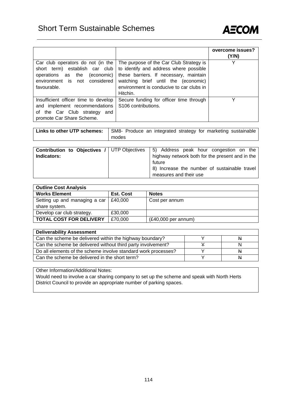

|                                                                                                                                                        |                                                                                                                                                                                                                            | overcome issues?<br>(Y/N) |
|--------------------------------------------------------------------------------------------------------------------------------------------------------|----------------------------------------------------------------------------------------------------------------------------------------------------------------------------------------------------------------------------|---------------------------|
| Car club operators do not (in the<br>short term) establish car club<br>(economic)<br>operations as the<br>environment is not considered<br>favourable. | The purpose of the Car Club Strategy is<br>to identify and address where possible<br>these barriers. If necessary, maintain<br>watching brief until the (economic)<br>environment is conducive to car clubs in<br>Hitchin. |                           |
| Insufficient officer time to develop<br>and implement recommendations<br>of the Car Club strategy<br>and<br>promote Car Share Scheme.                  | Secure funding for officer time through<br>S <sub>106</sub> contributions.                                                                                                                                                 | ∨                         |

| Links to other UTP schemes:                                       | SM8- Produce an integrated strategy for marketing sustainable<br>modes |                                                                                                                                                     |
|-------------------------------------------------------------------|------------------------------------------------------------------------|-----------------------------------------------------------------------------------------------------------------------------------------------------|
| <b>Contribution to Objectives / UTP Objectives</b><br>Indicators: |                                                                        | 5) Address peak hour congestion on the<br>highway network both for the present and in the<br>future<br>8) Increase the number of sustainable travel |
|                                                                   |                                                                        | measures and their use                                                                                                                              |

| <b>Outline Cost Analysis</b>   |                  |                       |  |  |
|--------------------------------|------------------|-----------------------|--|--|
| <b>Works Element</b>           | <b>Est. Cost</b> | <b>Notes</b>          |  |  |
| Setting up and managing a car  | £40.000          | Cost per annum        |  |  |
| share system.                  |                  |                       |  |  |
| Develop car club strategy.     | £30,000          |                       |  |  |
| <b>TOTAL COST FOR DELIVERY</b> | £70,000          | $(E40,000$ per annum) |  |  |

| <b>Deliverability Assessment</b>                               |          |
|----------------------------------------------------------------|----------|
| Can the scheme be delivered within the highway boundary?       | <b>N</b> |
| Can the scheme be delivered without third party involvement?   |          |
| Do all elements of the scheme involve standard work processes? | N        |
| Can the scheme be delivered in the short term?                 | N        |

Other Information/Additional Notes:

Would need to involve a car sharing company to set up the scheme and speak with North Herts District Council to provide an appropriate number of parking spaces.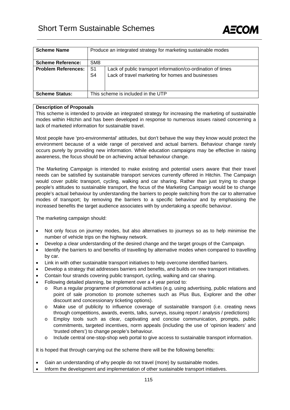

| <b>Scheme Name</b>         |                                    | Produce an integrated strategy for marketing sustainable modes |  |
|----------------------------|------------------------------------|----------------------------------------------------------------|--|
|                            |                                    |                                                                |  |
|                            |                                    |                                                                |  |
| <b>Scheme Reference:</b>   | SM <sub>8</sub>                    |                                                                |  |
| <b>Problem References:</b> | S <sub>1</sub>                     | Lack of public transport information/co-ordination of times    |  |
|                            | S4                                 | Lack of travel marketing for homes and businesses              |  |
|                            |                                    |                                                                |  |
|                            |                                    |                                                                |  |
| <b>Scheme Status:</b>      | This scheme is included in the UTP |                                                                |  |
|                            |                                    |                                                                |  |

#### **Description of Proposals**

This scheme is intended to provide an integrated strategy for increasing the marketing of sustainable modes within Hitchin and has been developed in response to numerous issues raised concerning a lack of marketed information for sustainable travel.

Most people have 'pro-environmental' attitudes, but don't behave the way they know would protect the environment because of a wide range of perceived and actual barriers. Behaviour change rarely occurs purely by providing new information. While education campaigns may be effective in raising awareness, the focus should be on achieving actual behaviour change.

The Marketing Campaign is intended to make existing and potential users aware that their travel needs can be satisfied by sustainable transport services currently offered in Hitchin. The Campaign would cover public transport, cycling, walking and car sharing. Rather than just trying to change people's attitudes to sustainable transport, the focus of the Marketing Campaign would be to change people's actual behaviour by understanding the barriers to people switching from the car to alternative modes of transport; by removing the barriers to a specific behaviour and by emphasising the increased benefits the target audience associates with by undertaking a specific behaviour.

The marketing campaign should:

- Not only focus on journey modes, but also alternatives to journeys so as to help minimise the number of vehicle trips on the highway network.
- Develop a clear understanding of the desired change and the target groups of the Campaign.
- Identify the barriers to and benefits of travelling by alternative modes when compared to travelling by car.
- Link in with other sustainable transport initiatives to help overcome identified barriers.
- Develop a strategy that addresses barriers and benefits, and builds on new transport initiatives.
- Contain four strands covering public transport, cycling, walking and car sharing.
- Following detailed planning, be implement over a 4 year period to:
	- o Run a regular programme of promotional activities (e.g. using advertising, public relations and point of sale promotion to promote schemes such as Plus Bus, Explorer and the other discount and concessionary ticketing options).
	- o Make use of publicity to influence coverage of sustainable transport (i.e. creating news through competitions, awards, events, talks, surveys, issuing report / analysis / predictions)
	- Employ tools such as clear, captivating and concise communication, prompts, public commitments, targeted incentives, norm appeals (including the use of 'opinion leaders' and 'trusted others') to change people's behaviour.
	- o Include central one-stop-shop web portal to give access to sustainable transport information.

It is hoped that through carrying out the scheme there will be the following benefits:

- Gain an understanding of why people do not travel (more) by sustainable modes.
- Inform the development and implementation of other sustainable transport initiatives.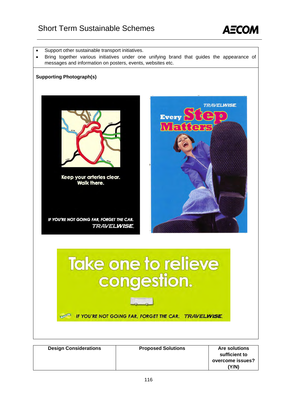### Short Term Sustainable Schemes



- Support other sustainable transport initiatives.
- Bring together various initiatives under one unifying brand that guides the appearance of messages and information on posters, events, websites etc.

#### **Supporting Photograph(s)**



Keep your arteries clear. **Walk there.** 

IF YOU'RE NOT GOING FAR, FORGET THE CAR. **TRAVELWISE** 



# **Take one to relieve** congestion.

IF YOU'RE NOT GOING FAR, FORGET THE CAR. TRAVELWISE

| <b>Design Considerations</b> | <b>Proposed Solutions</b> | <b>Are solutions</b> |
|------------------------------|---------------------------|----------------------|
|                              |                           | sufficient to        |
|                              |                           | overcome issues?     |
|                              |                           | 'Y/N)                |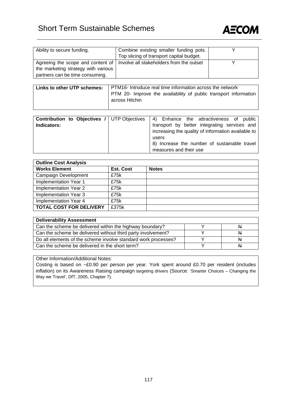## Short Term Sustainable Schemes



| Ability to secure funding.          | Combine existing smaller funding pots.                                       |  |
|-------------------------------------|------------------------------------------------------------------------------|--|
|                                     | Top slicing of transport capital budget.                                     |  |
|                                     | Agreeing the scope and content of   Involve all stakeholders from the outset |  |
| the marketing strategy with various |                                                                              |  |
| partners can be time consuming.     |                                                                              |  |

| Links to other UTP schemes: | PTM16- Introduce real time information across the network                          |  |  |
|-----------------------------|------------------------------------------------------------------------------------|--|--|
|                             | PTM 20- Improve the availability of public transport information<br>across Hitchin |  |  |

|             | <b>Contribution to Objectives / UTP Objectives   4) Enhance the attractiveness of public</b> |
|-------------|----------------------------------------------------------------------------------------------|
| Indicators: | transport by better integrating services and                                                 |
|             | increasing the quality of information available to                                           |
|             | users                                                                                        |
|             | 8) Increase the number of sustainable travel                                                 |
|             | measures and their use                                                                       |

| <b>Outline Cost Analysis</b>   |                  |              |  |
|--------------------------------|------------------|--------------|--|
| <b>Works Element</b>           | <b>Est. Cost</b> | <b>Notes</b> |  |
| Campaign Development           | £75k             |              |  |
| Implementation Year 1          | £75k             |              |  |
| Implementation Year 2          | £75k             |              |  |
| Implementation Year 3          | £75k             |              |  |
| Implementation Year 4          | £75k             |              |  |
| <b>TOTAL COST FOR DELIVERY</b> | £375k            |              |  |

| <b>Deliverability Assessment</b>                               |  |   |  |  |
|----------------------------------------------------------------|--|---|--|--|
| Can the scheme be delivered within the highway boundary?       |  |   |  |  |
| Can the scheme be delivered without third party involvement?   |  | N |  |  |
| Do all elements of the scheme involve standard work processes? |  | N |  |  |
| Can the scheme be delivered in the short term?                 |  | N |  |  |

Other Information/Additional Notes:

Costing is based on ~£0.90 per person per year. York spent around £0.70 per resident (includes inflation) on its Awareness Raising campaign targeting drivers (Source: 'Smarter Choices – Changing the Way we Travel', DfT, 2005, Chapter 7).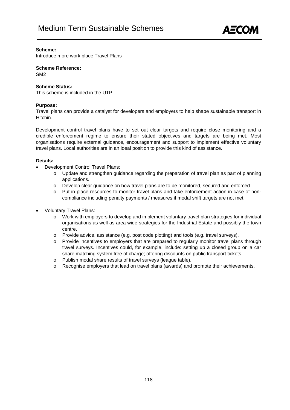

#### **Scheme:**

Introduce more work place Travel Plans

**Scheme Reference:** 

SM2

#### **Scheme Status:**

This scheme is included in the UTP

#### **Purpose:**

Travel plans can provide a catalyst for developers and employers to help shape sustainable transport in Hitchin.

Development control travel plans have to set out clear targets and require close monitoring and a credible enforcement regime to ensure their stated objectives and targets are being met. Most organisations require external guidance, encouragement and support to implement effective voluntary travel plans. Local authorities are in an ideal position to provide this kind of assistance.

#### **Details:**

- Development Control Travel Plans:
	- o Update and strengthen guidance regarding the preparation of travel plan as part of planning applications.
	- o Develop clear guidance on how travel plans are to be monitored, secured and enforced.
	- o Put in place resources to monitor travel plans and take enforcement action in case of noncompliance including penalty payments / measures if modal shift targets are not met.
- Voluntary Travel Plans:
	- o Work with employers to develop and implement voluntary travel plan strategies for individual organisations as well as area wide strategies for the Industrial Estate and possibly the town centre.
	- o Provide advice, assistance (e.g. post code plotting) and tools (e.g. travel surveys).
	- o Provide incentives to employers that are prepared to regularly monitor travel plans through travel surveys. Incentives could, for example, include: setting up a closed group on a car share matching system free of charge; offering discounts on public transport tickets.
	- o Publish modal share results of travel surveys (league table).
	- o Recognise employers that lead on travel plans (awards) and promote their achievements.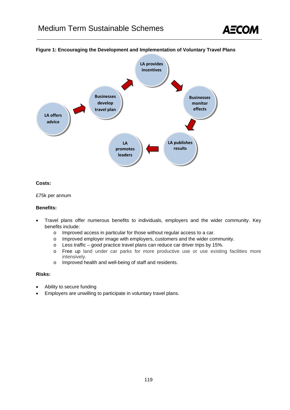



#### **Figure 1: Encouraging the Development and Implementation of Voluntary Travel Plans**

#### **Costs:**

£75k per annum

#### **Benefits:**

- Travel plans offer numerous benefits to individuals, employers and the wider community. Key benefits include:
	- o Improved access in particular for those without regular access to a car.
	- o Improved employer image with employers, customers and the wider community.
	- o Less traffic good practice travel plans can reduce car driver trips by 15%.
	- o Free up land under car parks for more productive use or use existing facilities more intensively.
	- o Improved health and well-being of staff and residents.

#### **Risks:**

- Ability to secure funding
- Employers are unwilling to participate in voluntary travel plans.